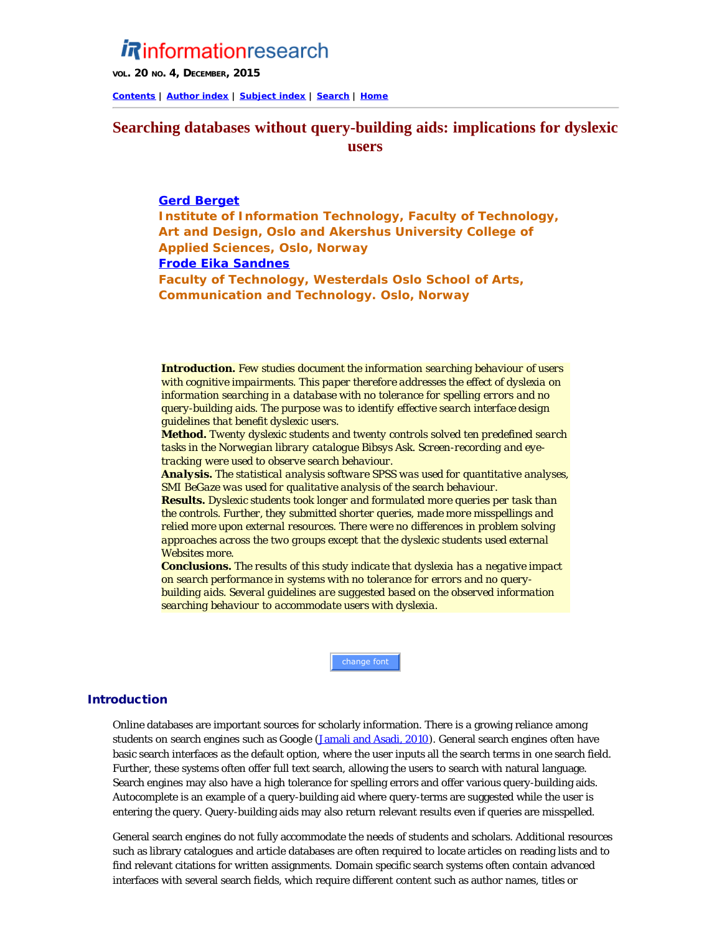# *Rinformationresearch*

**VOL. 20 NO. 4, DECEMBER, 2015**

**[Contents](http://www.informationr.net/ir/20-4/infres204.html) | [Author index](http://www.informationr.net/ir/iraindex.html) | [Subject index](http://www.informationr.net/ir/irsindex.html) | [Search](http://www.informationr.net/ir/search.html) | [Home](http://www.informationr.net/ir/index.html)**

## **Searching databases without query-building aids: implications for dyslexic users**

## **Gerd Berget**

**Institute of Information Technology, Faculty of Technology, Art and Design, Oslo and Akershus University College of Applied Sciences, Oslo, Norway Frode Eika Sandnes Faculty of Technology, Westerdals Oslo School of Arts, Communication and Technology. Oslo, Norway**

*Introduction. Few studies document the information searching behaviour of users with cognitive impairments. This paper therefore addresses the effect of dyslexia on information searching in a database with no tolerance for spelling errors and no query-building aids. The purpose was to identify effective search interface design guidelines that benefit dyslexic users.*

*Method. Twenty dyslexic students and twenty controls solved ten predefined search tasks in the Norwegian library catalogue Bibsys Ask. Screen-recording and eyetracking were used to observe search behaviour.* 

*Analysis. The statistical analysis software SPSS was used for quantitative analyses, SMI BeGaze was used for qualitative analysis of the search behaviour.* 

*Results. Dyslexic students took longer and formulated more queries per task than the controls. Further, they submitted shorter queries, made more misspellings and relied more upon external resources. There were no differences in problem solving approaches across the two groups except that the dyslexic students used external Websites more.* 

*Conclusions. The results of this study indicate that dyslexia has a negative impact on search performance in systems with no tolerance for errors and no querybuilding aids. Several guidelines are suggested based on the observed information searching behaviour to accommodate users with dyslexia.*

change font

#### Introduction

Online databases are important sources for scholarly information. There is a growing reliance among students on search engines such as Google (Jamali and Asadi, 2010). General search engines often have basic search interfaces as the default option, where the user inputs all the search terms in one search field. Further, these systems often offer full text search, allowing the users to search with natural language. Search engines may also have a high tolerance for spelling errors and offer various query-building aids. Autocomplete is an example of a query-building aid where query-terms are suggested while the user is entering the query. Query-building aids may also return relevant results even if queries are misspelled.

General search engines do not fully accommodate the needs of students and scholars. Additional resources such as library catalogues and article databases are often required to locate articles on reading lists and to find relevant citations for written assignments. Domain specific search systems often contain advanced interfaces with several search fields, which require different content such as author names, titles or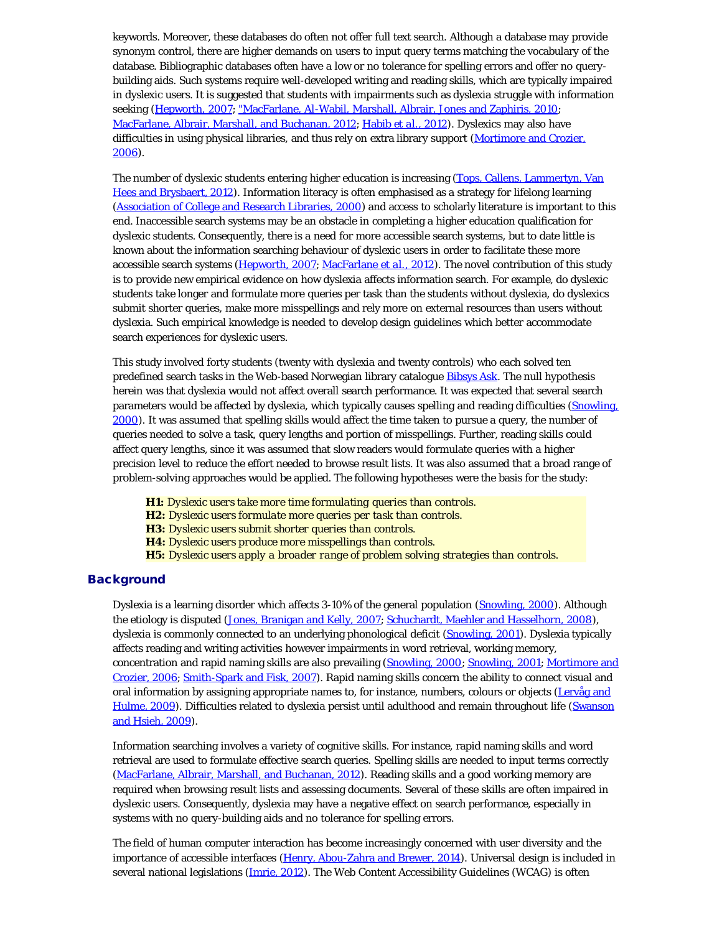keywords. Moreover, these databases do often not offer full text search. Although a database may provide synonym control, there are higher demands on users to input query terms matching the vocabulary of the database. Bibliographic databases often have a low or no tolerance for spelling errors and offer no querybuilding aids. Such systems require well-developed writing and reading skills, which are typically impaired in dyslexic users. It is suggested that students with impairments such as dyslexia struggle with information seeking (Hepworth, 2007; "MacFarlane, Al-Wabil, Marshall, Albrair, Jones and Zaphiris, 2010; MacFarlane, Albrair, Marshall, and Buchanan, 2012; Habib *et al.*, 2012). Dyslexics may also have difficulties in using physical libraries, and thus rely on extra library support (Mortimore and Crozier, 2006).

The number of dyslexic students entering higher education is increasing (Tops, Callens, Lammertyn, Van Hees and Brysbaert, 2012). Information literacy is often emphasised as a strategy for lifelong learning (Association of College and Research Libraries, 2000) and access to scholarly literature is important to this end. Inaccessible search systems may be an obstacle in completing a higher education qualification for dyslexic students. Consequently, there is a need for more accessible search systems, but to date little is known about the information searching behaviour of dyslexic users in order to facilitate these more accessible search systems (Hepworth, 2007; MacFarlane *et al.*, 2012). The novel contribution of this study is to provide new empirical evidence on how dyslexia affects information search. For example, do dyslexic students take longer and formulate more queries per task than the students without dyslexia, do dyslexics submit shorter queries, make more misspellings and rely more on external resources than users without dyslexia. Such empirical knowledge is needed to develop design guidelines which better accommodate search experiences for dyslexic users.

This study involved forty students (twenty with dyslexia and twenty controls) who each solved ten predefined search tasks in the Web-based Norwegian library catalogue [Bibsys Ask.](http://ask.bibsys.no/ask/action/resources?lang=en) The null hypothesis herein was that dyslexia would not affect overall search performance. It was expected that several search parameters would be affected by dyslexia, which typically causes spelling and reading difficulties (Snowling, 2000). It was assumed that spelling skills would affect the time taken to pursue a query, the number of queries needed to solve a task, query lengths and portion of misspellings. Further, reading skills could affect query lengths, since it was assumed that slow readers would formulate queries with a higher precision level to reduce the effort needed to browse result lists. It was also assumed that a broad range of problem-solving approaches would be applied. The following hypotheses were the basis for the study:

*H1: Dyslexic users take more time formulating queries than controls. H2: Dyslexic users formulate more queries per task than controls. H3: Dyslexic users submit shorter queries than controls. H4: Dyslexic users produce more misspellings than controls. H5: Dyslexic users apply a broader range of problem solving strategies than controls.*

### **Background**

Dyslexia is a learning disorder which affects 3-10% of the general population (Snowling, 2000). Although the etiology is disputed (Jones, Branigan and Kelly, 2007; Schuchardt, Maehler and Hasselhorn, 2008), dyslexia is commonly connected to an underlying phonological deficit (Snowling, 2001). Dyslexia typically affects reading and writing activities however impairments in word retrieval, working memory, concentration and rapid naming skills are also prevailing (Snowling, 2000; Snowling, 2001; Mortimore and Crozier, 2006; Smith-Spark and Fisk, 2007). Rapid naming skills concern the ability to connect visual and oral information by assigning appropriate names to, for instance, numbers, colours or objects (Lervåg and Hulme, 2009). Difficulties related to dyslexia persist until adulthood and remain throughout life (Swanson and Hsieh, 2009).

Information searching involves a variety of cognitive skills. For instance, rapid naming skills and word retrieval are used to formulate effective search queries. Spelling skills are needed to input terms correctly (MacFarlane, Albrair, Marshall, and Buchanan, 2012). Reading skills and a good working memory are required when browsing result lists and assessing documents. Several of these skills are often impaired in dyslexic users. Consequently, dyslexia may have a negative effect on search performance, especially in systems with no query-building aids and no tolerance for spelling errors.

The field of human computer interaction has become increasingly concerned with user diversity and the importance of accessible interfaces (Henry, Abou-Zahra and Brewer, 2014). Universal design is included in several national legislations (*Imrie, 2012*). The Web Content Accessibility Guidelines (WCAG) is often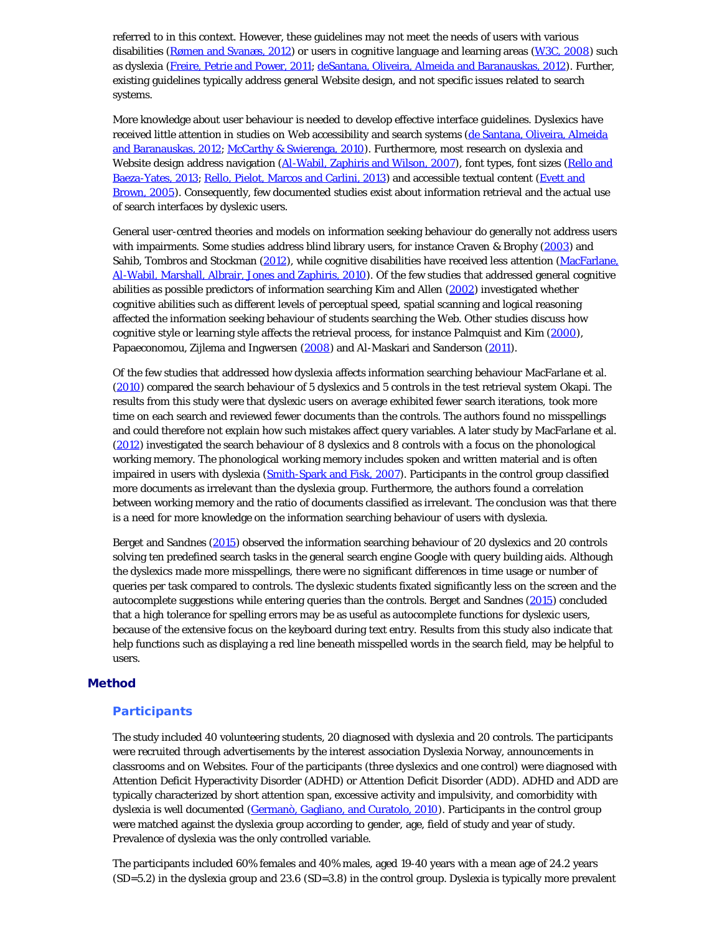referred to in this context. However, these guidelines may not meet the needs of users with various disabilities (Rømen and Svanæs, 2012) or users in cognitive language and learning areas (W3C, 2008) such as dyslexia (Freire, Petrie and Power, 2011; deSantana, Oliveira, Almeida and Baranauskas, 2012). Further, existing guidelines typically address general Website design, and not specific issues related to search systems.

More knowledge about user behaviour is needed to develop effective interface guidelines. Dyslexics have received little attention in studies on Web accessibility and search systems (de Santana, Oliveira, Almeida and Baranauskas, 2012; McCarthy & Swierenga, 2010). Furthermore, most research on dyslexia and Website design address navigation (Al-Wabil, Zaphiris and Wilson, 2007), font types, font sizes (Rello and Baeza-Yates, 2013; Rello, Pielot, Marcos and Carlini, 2013) and accessible textual content (Evett and Brown, 2005). Consequently, few documented studies exist about information retrieval and the actual use of search interfaces by dyslexic users.

General user-centred theories and models on information seeking behaviour do generally not address users with impairments. Some studies address blind library users, for instance Craven & Brophy (2003) and Sahib, Tombros and Stockman (2012), while cognitive disabilities have received less attention (MacFarlane, Al-Wabil, Marshall, Albrair, Jones and Zaphiris, 2010). Of the few studies that addressed general cognitive abilities as possible predictors of information searching Kim and Allen (2002) investigated whether cognitive abilities such as different levels of perceptual speed, spatial scanning and logical reasoning affected the information seeking behaviour of students searching the Web. Other studies discuss how cognitive style or learning style affects the retrieval process, for instance Palmquist and Kim (2000), Papaeconomou, Zijlema and Ingwersen (2008) and Al-Maskari and Sanderson (2011).

Of the few studies that addressed how dyslexia affects information searching behaviour MacFarlane et al. (2010) compared the search behaviour of 5 dyslexics and 5 controls in the test retrieval system Okapi. The results from this study were that dyslexic users on average exhibited fewer search iterations, took more time on each search and reviewed fewer documents than the controls. The authors found no misspellings and could therefore not explain how such mistakes affect query variables. A later study by MacFarlane et al. (2012) investigated the search behaviour of 8 dyslexics and 8 controls with a focus on the phonological working memory. The phonological working memory includes spoken and written material and is often impaired in users with dyslexia (Smith-Spark and Fisk, 2007). Participants in the control group classified more documents as irrelevant than the dyslexia group. Furthermore, the authors found a correlation between working memory and the ratio of documents classified as irrelevant. The conclusion was that there is a need for more knowledge on the information searching behaviour of users with dyslexia.

Berget and Sandnes (2015) observed the information searching behaviour of 20 dyslexics and 20 controls solving ten predefined search tasks in the general search engine Google with query building aids. Although the dyslexics made more misspellings, there were no significant differences in time usage or number of queries per task compared to controls. The dyslexic students fixated significantly less on the screen and the autocomplete suggestions while entering queries than the controls. Berget and Sandnes (2015) concluded that a high tolerance for spelling errors may be as useful as autocomplete functions for dyslexic users, because of the extensive focus on the keyboard during text entry. Results from this study also indicate that help functions such as displaying a red line beneath misspelled words in the search field, may be helpful to users.

### Method

#### **Participants**

The study included 40 volunteering students, 20 diagnosed with dyslexia and 20 controls. The participants were recruited through advertisements by the interest association Dyslexia Norway, announcements in classrooms and on Websites. Four of the participants (three dyslexics and one control) were diagnosed with Attention Deficit Hyperactivity Disorder (ADHD) or Attention Deficit Disorder (ADD). ADHD and ADD are typically characterized by short attention span, excessive activity and impulsivity, and comorbidity with dyslexia is well documented (Germanò, Gagliano, and Curatolo, 2010). Participants in the control group were matched against the dyslexia group according to gender, age, field of study and year of study. Prevalence of dyslexia was the only controlled variable.

The participants included 60% females and 40% males, aged 19-40 years with a mean age of 24.2 years (*SD*=5.2) in the dyslexia group and 23.6 (*SD*=3.8) in the control group. Dyslexia is typically more prevalent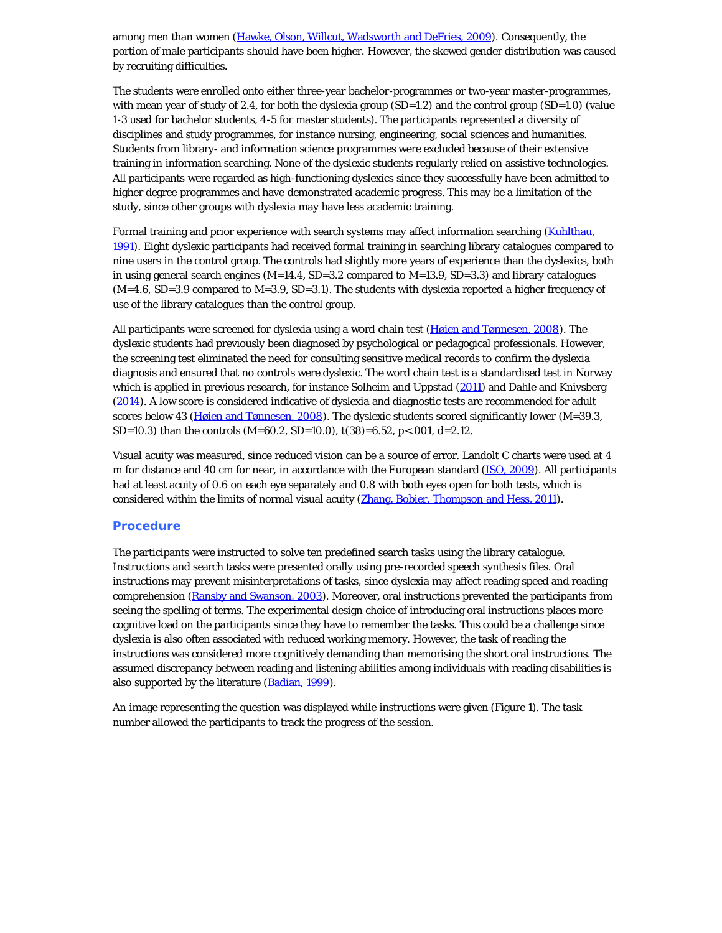among men than women (Hawke, Olson, Willcut, Wadsworth and DeFries, 2009). Consequently, the portion of male participants should have been higher. However, the skewed gender distribution was caused by recruiting difficulties.

The students were enrolled onto either three-year bachelor-programmes or two-year master-programmes, with mean year of study of 2.4, for both the dyslexia group (*SD*=1.2) and the control group (*SD*=1.0) (value 1-3 used for bachelor students, 4-5 for master students). The participants represented a diversity of disciplines and study programmes, for instance nursing, engineering, social sciences and humanities. Students from library- and information science programmes were excluded because of their extensive training in information searching. None of the dyslexic students regularly relied on assistive technologies. All participants were regarded as high-functioning dyslexics since they successfully have been admitted to higher degree programmes and have demonstrated academic progress. This may be a limitation of the study, since other groups with dyslexia may have less academic training.

Formal training and prior experience with search systems may affect information searching (Kuhlthau, 1991). Eight dyslexic participants had received formal training in searching library catalogues compared to nine users in the control group. The controls had slightly more years of experience than the dyslexics, both in using general search engines (*M*=14.4, *SD*=3.2 compared to *M*=13.9, *SD*=3.3) and library catalogues (*M*=4.6, *SD*=3.9 compared to *M*=3.9, *SD*=3.1). The students with dyslexia reported a higher frequency of use of the library catalogues than the control group.

All participants were screened for dyslexia using a word chain test (Høien and Tønnesen, 2008). The dyslexic students had previously been diagnosed by psychological or pedagogical professionals. However, the screening test eliminated the need for consulting sensitive medical records to confirm the dyslexia diagnosis and ensured that no controls were dyslexic. The word chain test is a standardised test in Norway which is applied in previous research, for instance Solheim and Uppstad (2011) and Dahle and Knivsberg (2014). A low score is considered indicative of dyslexia and diagnostic tests are recommended for adult scores below 43 (Høien and Tønnesen, 2008). The dyslexic students scored significantly lower (*M*=39.3, *SD*=10.3) than the controls (*M*=60.2, *SD*=10.0), *t*(38)=6.52, *p*<.001, *d*=2.12.

Visual acuity was measured, since reduced vision can be a source of error. Landolt C charts were used at 4 m for distance and 40 cm for near, in accordance with the European standard (ISO, 2009). All participants had at least acuity of 0.6 on each eye separately and 0.8 with both eyes open for both tests, which is considered within the limits of normal visual acuity (Zhang, Bobier, Thompson and Hess, 2011).

### **Procedure**

The participants were instructed to solve ten predefined search tasks using the library catalogue. Instructions and search tasks were presented orally using pre-recorded speech synthesis files. Oral instructions may prevent misinterpretations of tasks, since dyslexia may affect reading speed and reading comprehension (Ransby and Swanson, 2003). Moreover, oral instructions prevented the participants from seeing the spelling of terms. The experimental design choice of introducing oral instructions places more cognitive load on the participants since they have to remember the tasks. This could be a challenge since dyslexia is also often associated with reduced working memory. However, the task of reading the instructions was considered more cognitively demanding than memorising the short oral instructions. The assumed discrepancy between reading and listening abilities among individuals with reading disabilities is also supported by the literature (Badian, 1999).

An image representing the question was displayed while instructions were given (Figure 1). The task number allowed the participants to track the progress of the session.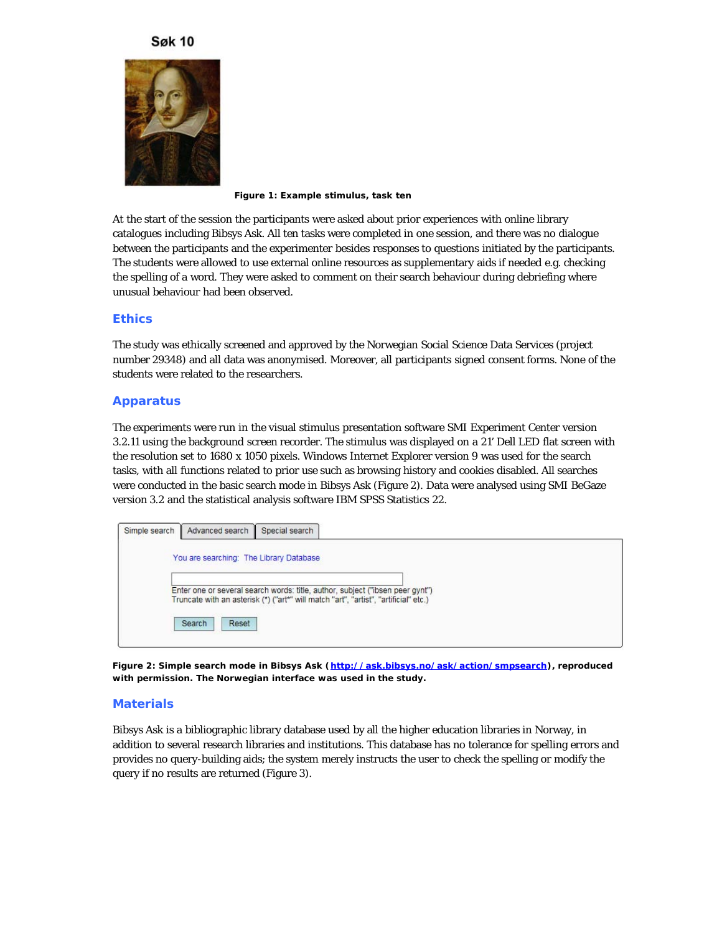## **Søk 10**



**Figure 1: Example stimulus, task ten**

At the start of the session the participants were asked about prior experiences with online library catalogues including Bibsys Ask. All ten tasks were completed in one session, and there was no dialogue between the participants and the experimenter besides responses to questions initiated by the participants. The students were allowed to use external online resources as supplementary aids if needed e.g. checking the spelling of a word. They were asked to comment on their search behaviour during debriefing where unusual behaviour had been observed.

## **Ethics**

The study was ethically screened and approved by the Norwegian Social Science Data Services (project number 29348) and all data was anonymised. Moreover, all participants signed consent forms. None of the students were related to the researchers.

## **Apparatus**

The experiments were run in the visual stimulus presentation software SMI Experiment Center version 3.2.11 using the background screen recorder. The stimulus was displayed on a 21' Dell LED flat screen with the resolution set to 1680 x 1050 pixels. Windows Internet Explorer version 9 was used for the search tasks, with all functions related to prior use such as browsing history and cookies disabled. All searches were conducted in the basic search mode in Bibsys Ask (Figure 2). Data were analysed using SMI BeGaze version 3.2 and the statistical analysis software IBM SPSS Statistics 22.

| Simple search   Advanced search   Special search |                                                                                                                                                                       |  |
|--------------------------------------------------|-----------------------------------------------------------------------------------------------------------------------------------------------------------------------|--|
| You are searching: The Library Database          |                                                                                                                                                                       |  |
|                                                  | Enter one or several search words: title, author, subject ("ibsen peer gynt")<br>Truncate with an asterisk (*) ("art*" will match "art", "artist", "artificial" etc.) |  |
| Search<br>Reset                                  |                                                                                                                                                                       |  |

**Figure 2: Simple search mode in Bibsys Ask (<http://ask.bibsys.no/ask/action/smpsearch>), reproduced with permission. The Norwegian interface was used in the study.**

### **Materials**

Bibsys Ask is a bibliographic library database used by all the higher education libraries in Norway, in addition to several research libraries and institutions. This database has no tolerance for spelling errors and provides no query-building aids; the system merely instructs the user to check the spelling or modify the query if no results are returned (Figure 3).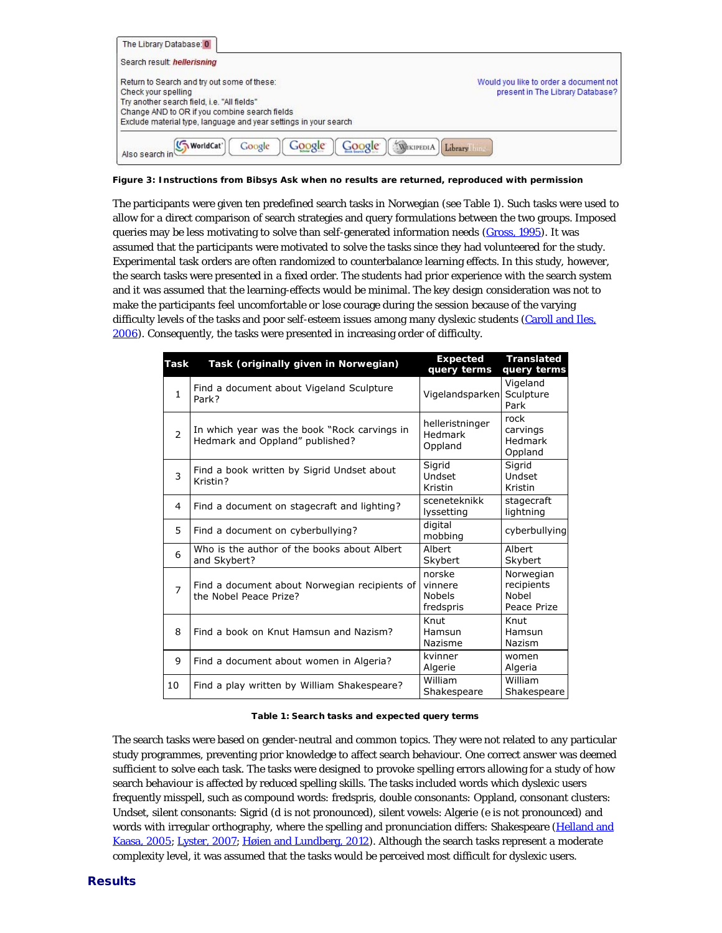| The Library Database: 0                                                                                                                                                                                                                |                                                                            |
|----------------------------------------------------------------------------------------------------------------------------------------------------------------------------------------------------------------------------------------|----------------------------------------------------------------------------|
| Search result: hellerisning                                                                                                                                                                                                            |                                                                            |
| Return to Search and try out some of these:<br>Check your spelling<br>Try another search field, i.e. "All fields"<br>Change AND to OR if you combine search fields<br>Exclude material type, language and year settings in your search | Would you like to order a document not<br>present in The Library Database? |
| (WorldCat'<br>Google<br>Google<br>Google<br>WIKIPEDIA<br>Also search in                                                                                                                                                                | Library                                                                    |

**Figure 3: Instructions from Bibsys Ask when no results are returned, reproduced with permission**

The participants were given ten predefined search tasks in Norwegian (see Table 1). Such tasks were used to allow for a direct comparison of search strategies and query formulations between the two groups. Imposed queries may be less motivating to solve than self-generated information needs (Gross, 1995). It was assumed that the participants were motivated to solve the tasks since they had volunteered for the study. Experimental task orders are often randomized to counterbalance learning effects. In this study, however, the search tasks were presented in a fixed order. The students had prior experience with the search system and it was assumed that the learning-effects would be minimal. The key design consideration was not to make the participants feel uncomfortable or lose courage during the session because of the varying difficulty levels of the tasks and poor self-esteem issues among many dyslexic students (Caroll and Iles, 2006). Consequently, the tasks were presented in increasing order of difficulty.

| <b>Task</b>    | Task (originally given in Norwegian)                                            | <b>Expected</b><br>query terms                  | <b>Translated</b><br>query terms                |
|----------------|---------------------------------------------------------------------------------|-------------------------------------------------|-------------------------------------------------|
| $\mathbf{1}$   | Find a document about Vigeland Sculpture<br>Park?                               | Vigelandsparken                                 | Vigeland<br>Sculpture<br>Park                   |
| $\mathcal{P}$  | In which year was the book "Rock carvings in<br>Hedmark and Oppland" published? | helleristninger<br>Hedmark<br>Oppland           | rock<br>carvings<br>Hedmark<br>Oppland          |
| 3              | Find a book written by Sigrid Undset about<br>Kristin?                          | Sigrid<br>Undset<br>Kristin                     | Sigrid<br>Undset<br>Kristin                     |
| 4              | Find a document on stagecraft and lighting?                                     | sceneteknikk<br>lyssetting                      | stagecraft<br>lightning                         |
| 5              | Find a document on cyberbullying?                                               | digital<br>mobbing                              | cyberbullying                                   |
| 6              | Who is the author of the books about Albert<br>and Skybert?                     | Albert<br>Skybert                               | Albert<br>Skybert                               |
| $\overline{7}$ | Find a document about Norwegian recipients of<br>the Nobel Peace Prize?         | norske<br>vinnere<br><b>Nobels</b><br>fredspris | Norwegian<br>recipients<br>Nobel<br>Peace Prize |
| 8              | Find a book on Knut Hamsun and Nazism?                                          | Knut<br>Hamsun<br>Nazisme                       | Knut<br>Hamsun<br>Nazism                        |
| 9              | Find a document about women in Algeria?                                         | kvinner<br>Algerie                              | women<br>Algeria                                |
| 10             | Find a play written by William Shakespeare?                                     | William<br>Shakespeare                          | William<br>Shakespeare                          |

#### Table 1: Search tasks and expected query terms

The search tasks were based on gender-neutral and common topics. They were not related to any particular study programmes, preventing prior knowledge to affect search behaviour. One correct answer was deemed sufficient to solve each task. The tasks were designed to provoke spelling errors allowing for a study of how search behaviour is affected by reduced spelling skills. The tasks included words which dyslexic users frequently misspell, such as compound words: fredspris, double consonants: Oppland, consonant clusters: Undset, silent consonants: Sigrid (d is not pronounced), silent vowels: Algerie (e is not pronounced) and words with irregular orthography, where the spelling and pronunciation differs: Shakespeare (Helland and Kaasa, 2005; Lyster, 2007; Høien and Lundberg, 2012). Although the search tasks represent a moderate complexity level, it was assumed that the tasks would be perceived most difficult for dyslexic users.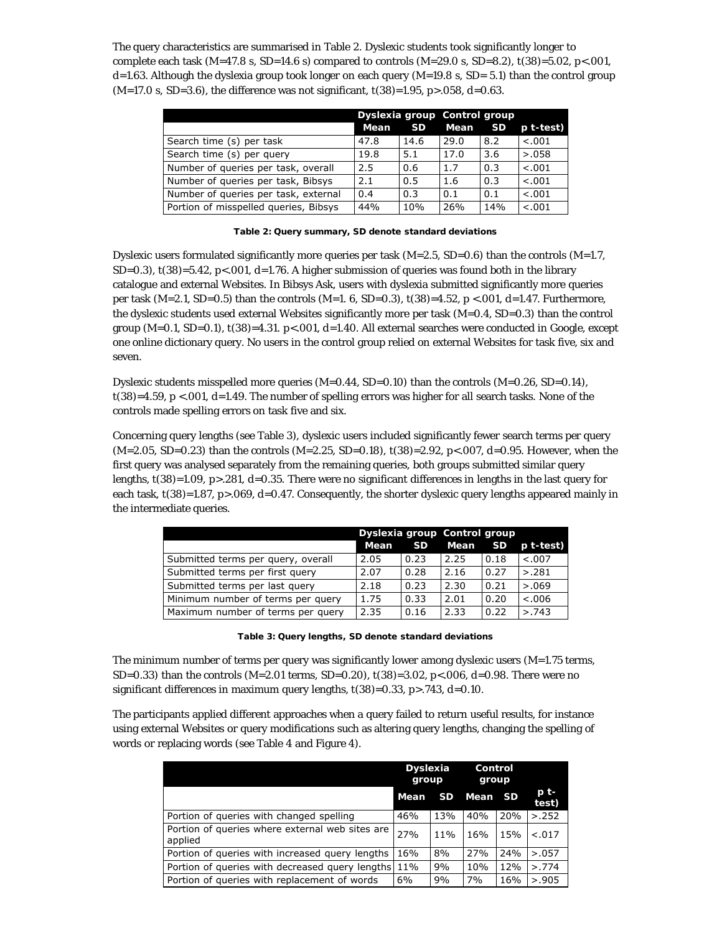The query characteristics are summarised in Table 2. Dyslexic students took significantly longer to complete each task (*M*=47.8 s, *SD*=14.6 s) compared to controls (*M*=29.0 s, *SD*=8.2), *t*(38)=5.02, *p*<.001, *d*=1.63. Although the dyslexia group took longer on each query (*M*=19.8 s, *SD*= 5.1) than the control group (*M*=17.0 s, *SD*=3.6), the difference was not significant, *t*(38)=1.95, *p*>.058, *d*=0.63.

|                                       | Dyslexia group Control group |      |      |           |           |
|---------------------------------------|------------------------------|------|------|-----------|-----------|
|                                       | Mean                         | SD.  | Mean | <b>SD</b> | p t-test) |
| Search time (s) per task              | 47.8                         | 14.6 | 29.0 | 8.2       | < .001    |
| Search time (s) per query             | 19.8                         | 5.1  | 17.0 | 3.6       | > 0.058   |
| Number of queries per task, overall   | 2.5                          | 0.6  | 1.7  | 0.3       | < .001    |
| Number of queries per task, Bibsys    | 2.1                          | 0.5  | 1.6  | 0.3       | < .001    |
| Number of queries per task, external  | 0.4                          | 0.3  | 0.1  | 0.1       | < .001    |
| Portion of misspelled queries, Bibsys | 44%                          | 10%  | 26%  | 14%       | < .001    |

Table 2: Query summary, SD denote standard deviations

Dyslexic users formulated significantly more queries per task (*M*=2.5, *SD*=0.6) than the controls (*M*=1.7,  $SD=0.3$ ),  $t(38)=5.42$ ,  $p<0.01$ ,  $d=1.76$ . A higher submission of queries was found both in the library catalogue and external Websites. In Bibsys Ask, users with dyslexia submitted significantly more queries per task (*M*=2.1, *SD*=0.5) than the controls (*M*=1. 6, *SD*=0.3), *t*(38)=4.52, *p* <.001, *d*=1.47. Furthermore, the dyslexic students used external Websites significantly more per task (*M*=0.4, *SD*=0.3) than the control group (*M*=0.1, *SD*=0.1), *t*(38)=4.31. *p*<.001, *d*=1.40. All external searches were conducted in Google, except one online dictionary query. No users in the control group relied on external Websites for task five, six and seven.

Dyslexic students misspelled more queries (*M*=0.44, *SD*=0.10) than the controls (*M*=0.26, *SD*=0.14), *t*(38)=4.59, *p* <.001, *d*=1.49. The number of spelling errors was higher for all search tasks. None of the controls made spelling errors on task five and six.

Concerning query lengths (see Table 3), dyslexic users included significantly fewer search terms per query (*M*=2.05, *SD*=0.23) than the controls (*M*=2.25, *SD*=0.18), *t*(38)=2.92, *p*<.007, *d*=0.95. However, when the first query was analysed separately from the remaining queries, both groups submitted similar query lengths, *t*(38)=1.09, *p*>.281, *d*=0.35. There were no significant differences in lengths in the last query for each task, *t*(38)=1.87, *p*>.069, *d*=0.47. Consequently, the shorter dyslexic query lengths appeared mainly in the intermediate queries.

|                                    | Dyslexia group Control group |      |      |      |           |
|------------------------------------|------------------------------|------|------|------|-----------|
|                                    | Mean                         | SD   | Mean | SD   | p t-test) |
| Submitted terms per query, overall | 2.05                         | 0.23 | 2.25 | 0.18 | < 0.007   |
| Submitted terms per first query    | 2.07                         | 0.28 | 2.16 | 0.27 | > 0.281   |
| Submitted terms per last query     | 2.18                         | 0.23 | 2.30 | 0.21 | > 0.069   |
| Minimum number of terms per query  | 1.75                         | 0.33 | 2.01 | 0.20 | < .006    |
| Maximum number of terms per query  | 2.35                         | 0.16 | 2.33 | 0.22 | > 743     |

| Table 3: Query lengths, SD denote standard deviations |
|-------------------------------------------------------|
|-------------------------------------------------------|

The minimum number of terms per query was significantly lower among dyslexic users (*M*=1.75 terms, *SD*=0.33) than the controls (*M*=2.01 terms, *SD*=0.20), *t*(38)=3.02, *p*<.006, *d*=0.98. There were no significant differences in maximum query lengths, *t*(38)=0.33, *p*>.743, *d*=0.10.

The participants applied different approaches when a query failed to return useful results, for instance using external Websites or query modifications such as altering query lengths, changing the spelling of words or replacing words (see Table 4 and Figure 4).

|                                                            | <b>Dyslexia</b><br>group |           | Control<br>group |     |                   |
|------------------------------------------------------------|--------------------------|-----------|------------------|-----|-------------------|
|                                                            | Mean                     | <b>SD</b> | Mean SD          |     | $p_{t-}$<br>test) |
| Portion of queries with changed spelling                   | 46%                      | 13%       | 40%              | 20% | > 0.252           |
| Portion of queries where external web sites are<br>applied | 27%                      | 11%       | 16%              | 15% | $-.017$           |
| Portion of queries with increased query lengths            | 16%                      | 8%        | 27%              | 24% | > 0.057           |
| Portion of queries with decreased query lengths 11%        |                          | 9%        | 10%              | 12% | > 774             |
| Portion of queries with replacement of words               | 6%                       | 9%        | 7%               | 16% | > 0.905           |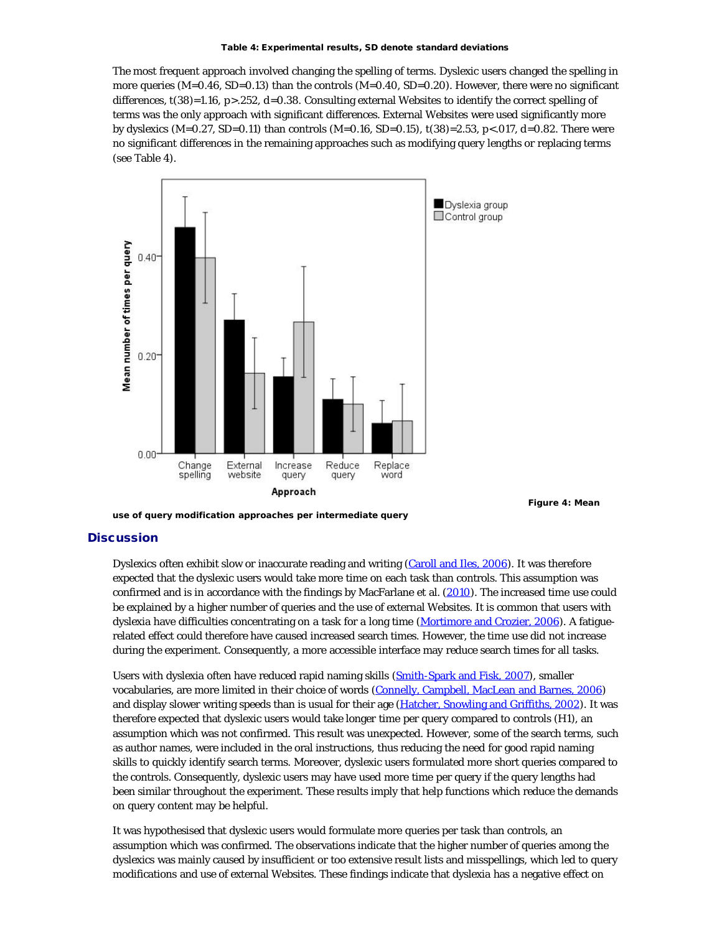The most frequent approach involved changing the spelling of terms. Dyslexic users changed the spelling in more queries (*M*=0.46, *SD*=0.13) than the controls (*M*=0.40, *SD*=0.20). However, there were no significant differences, *t*(38)=1.16, *p*>.252, *d*=0.38. Consulting external Websites to identify the correct spelling of terms was the only approach with significant differences. External Websites were used significantly more by dyslexics (*M*=0.27, *SD*=0.11) than controls (*M*=0.16, *SD*=0.15), *t*(38)=2.53, *p*<.017, *d*=0.82. There were no significant differences in the remaining approaches such as modifying query lengths or replacing terms (see Table 4).



**Figure 4: Mean**

#### **use of query modification approaches per intermediate query**

#### **Discussion**

Dyslexics often exhibit slow or inaccurate reading and writing (Caroll and Iles, 2006). It was therefore expected that the dyslexic users would take more time on each task than controls. This assumption was confirmed and is in accordance with the findings by MacFarlane et al. (2010). The increased time use could be explained by a higher number of queries and the use of external Websites. It is common that users with dyslexia have difficulties concentrating on a task for a long time (Mortimore and Crozier, 2006). A fatiguerelated effect could therefore have caused increased search times. However, the time use did not increase during the experiment. Consequently, a more accessible interface may reduce search times for all tasks.

Users with dyslexia often have reduced rapid naming skills (Smith-Spark and Fisk, 2007), smaller vocabularies, are more limited in their choice of words (Connelly, Campbell, MacLean and Barnes, 2006) and display slower writing speeds than is usual for their age (Hatcher, Snowling and Griffiths, 2002). It was therefore expected that dyslexic users would take longer time per query compared to controls (H1), an assumption which was not confirmed. This result was unexpected. However, some of the search terms, such as author names, were included in the oral instructions, thus reducing the need for good rapid naming skills to quickly identify search terms. Moreover, dyslexic users formulated more short queries compared to the controls. Consequently, dyslexic users may have used more time per query if the query lengths had been similar throughout the experiment. These results imply that help functions which reduce the demands on query content may be helpful.

It was hypothesised that dyslexic users would formulate more queries per task than controls, an assumption which was confirmed. The observations indicate that the higher number of queries among the dyslexics was mainly caused by insufficient or too extensive result lists and misspellings, which led to query modifications and use of external Websites. These findings indicate that dyslexia has a negative effect on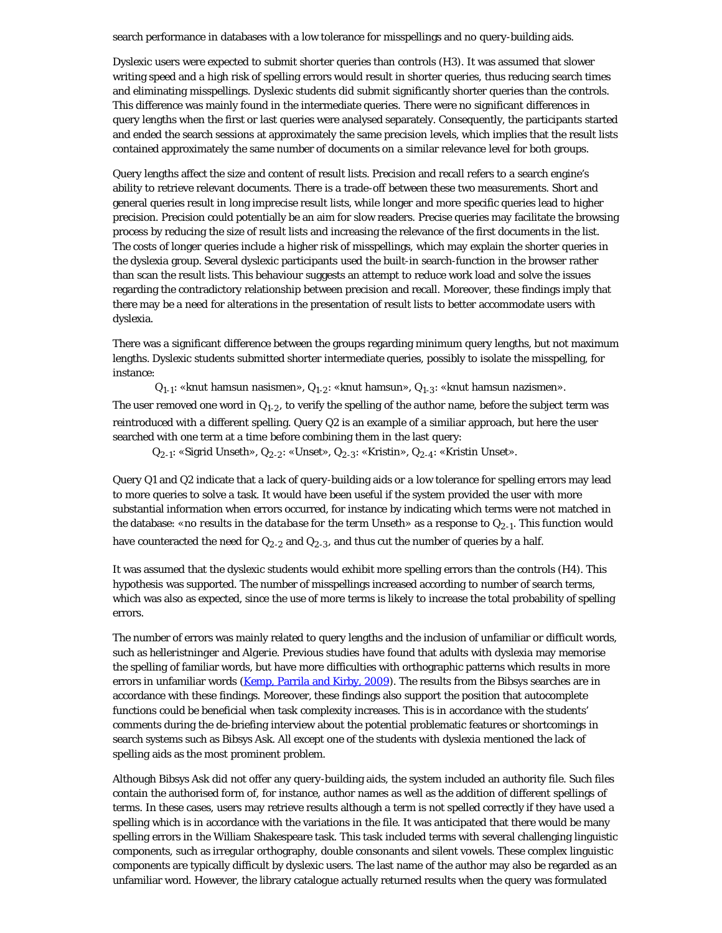search performance in databases with a low tolerance for misspellings and no query-building aids.

Dyslexic users were expected to submit shorter queries than controls (H3). It was assumed that slower writing speed and a high risk of spelling errors would result in shorter queries, thus reducing search times and eliminating misspellings. Dyslexic students did submit significantly shorter queries than the controls. This difference was mainly found in the intermediate queries. There were no significant differences in query lengths when the first or last queries were analysed separately. Consequently, the participants started and ended the search sessions at approximately the same precision levels, which implies that the result lists contained approximately the same number of documents on a similar relevance level for both groups.

Query lengths affect the size and content of result lists. Precision and recall refers to a search engine's ability to retrieve relevant documents. There is a trade-off between these two measurements. Short and general queries result in long imprecise result lists, while longer and more specific queries lead to higher precision. Precision could potentially be an aim for slow readers. Precise queries may facilitate the browsing process by reducing the size of result lists and increasing the relevance of the first documents in the list. The costs of longer queries include a higher risk of misspellings, which may explain the shorter queries in the dyslexia group. Several dyslexic participants used the built-in search-function in the browser rather than scan the result lists. This behaviour suggests an attempt to reduce work load and solve the issues regarding the contradictory relationship between precision and recall. Moreover, these findings imply that there may be a need for alterations in the presentation of result lists to better accommodate users with dyslexia.

There was a significant difference between the groups regarding minimum query lengths, but not maximum lengths. Dyslexic students submitted shorter intermediate queries, possibly to isolate the misspelling, for instance:

 $Q_{1-1}$ : «knut hamsun nasismen»,  $Q_{1-2}$ : «knut hamsun»,  $Q_{1-3}$ : «knut hamsun nazismen». The user removed one word in  $Q_{1-2}$ , to verify the spelling of the author name, before the subject term was reintroduced with a different spelling. Query Q2 is an example of a similiar approach, but here the user searched with one term at a time before combining them in the last query:

 $\mathrm{Q}_{2\text{-}1}$ : «Sigrid Unseth»,  $\mathrm{Q}_{2\text{-}2}$ : «Unset»,  $\mathrm{Q}_{2\text{-}3}$ : «Kristin»,  $\mathrm{Q}_{2\text{-}4}$ : «Kristin Unset».

Query Q1 and Q2 indicate that a lack of query-building aids or a low tolerance for spelling errors may lead to more queries to solve a task. It would have been useful if the system provided the user with more substantial information when errors occurred, for instance by indicating which terms were not matched in the database: «*no results in the database for the term Unseth*» as a response to  $Q_{2-1}$ . This function would have counteracted the need for  $Q_{2-2}$  and  $Q_{2-3}$ , and thus cut the number of queries by a half.

It was assumed that the dyslexic students would exhibit more spelling errors than the controls (H4). This hypothesis was supported. The number of misspellings increased according to number of search terms, which was also as expected, since the use of more terms is likely to increase the total probability of spelling errors.

The number of errors was mainly related to query lengths and the inclusion of unfamiliar or difficult words, such as *helleristninger* and *Algerie*. Previous studies have found that adults with dyslexia may memorise the spelling of familiar words, but have more difficulties with orthographic patterns which results in more errors in unfamiliar words (Kemp, Parrila and Kirby, 2009). The results from the Bibsys searches are in accordance with these findings. Moreover, these findings also support the position that autocomplete functions could be beneficial when task complexity increases. This is in accordance with the students' comments during the de-briefing interview about the potential problematic features or shortcomings in search systems such as Bibsys Ask. All except one of the students with dyslexia mentioned the lack of spelling aids as the most prominent problem.

Although Bibsys Ask did not offer any query-building aids, the system included an authority file. Such files contain the authorised form of, for instance, author names as well as the addition of different spellings of terms. In these cases, users may retrieve results although a term is not spelled correctly if they have used a spelling which is in accordance with the variations in the file. It was anticipated that there would be many spelling errors in the William Shakespeare task. This task included terms with several challenging linguistic components, such as irregular orthography, double consonants and silent vowels. These complex linguistic components are typically difficult by dyslexic users. The last name of the author may also be regarded as an unfamiliar word. However, the library catalogue actually returned results when the query was formulated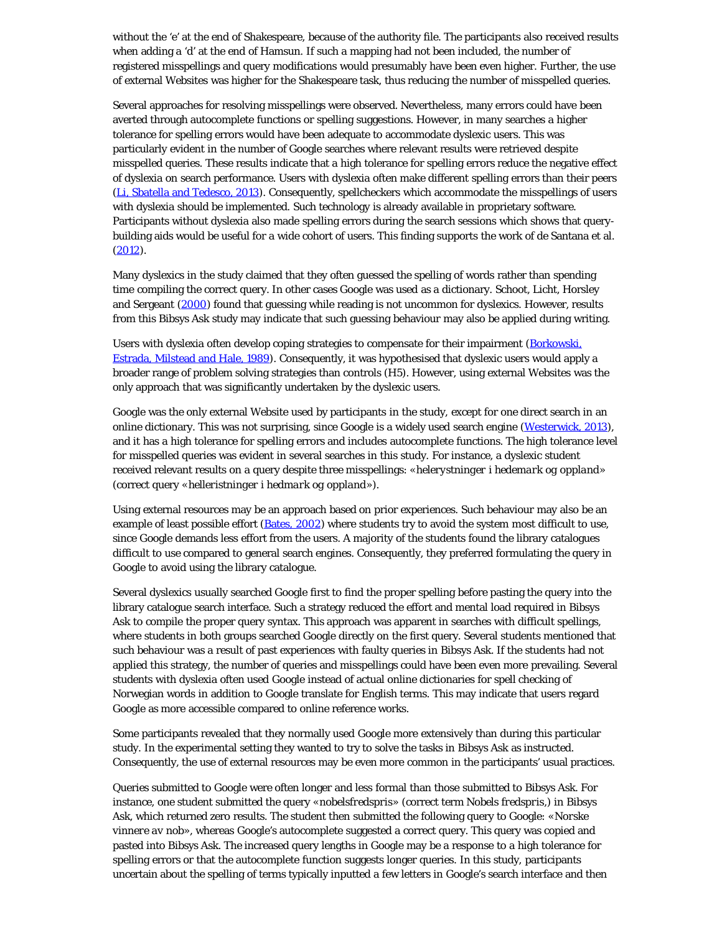without the 'e' at the end of Shakespeare, because of the authority file. The participants also received results when adding a 'd' at the end of Hamsun. If such a mapping had not been included, the number of registered misspellings and query modifications would presumably have been even higher. Further, the use of external Websites was higher for the Shakespeare task, thus reducing the number of misspelled queries.

Several approaches for resolving misspellings were observed. Nevertheless, many errors could have been averted through autocomplete functions or spelling suggestions. However, in many searches a higher tolerance for spelling errors would have been adequate to accommodate dyslexic users. This was particularly evident in the number of Google searches where relevant results were retrieved despite misspelled queries. These results indicate that a high tolerance for spelling errors reduce the negative effect of dyslexia on search performance. Users with dyslexia often make different spelling errors than their peers (Li, Sbatella and Tedesco, 2013). Consequently, spellcheckers which accommodate the misspellings of users with dyslexia should be implemented. Such technology is already available in proprietary software. Participants without dyslexia also made spelling errors during the search sessions which shows that querybuilding aids would be useful for a wide cohort of users. This finding supports the work of de Santana et al.  $(2012).$ 

Many dyslexics in the study claimed that they often guessed the spelling of words rather than spending time compiling the correct query. In other cases Google was used as a dictionary. Schoot, Licht, Horsley and Sergeant (2000) found that guessing while reading is not uncommon for dyslexics. However, results from this Bibsys Ask study may indicate that such guessing behaviour may also be applied during writing.

Users with dyslexia often develop coping strategies to compensate for their impairment (Borkowski, Estrada, Milstead and Hale, 1989). Consequently, it was hypothesised that dyslexic users would apply a broader range of problem solving strategies than controls (H5). However, using external Websites was the only approach that was significantly undertaken by the dyslexic users.

Google was the only external Website used by participants in the study, except for one direct search in an online dictionary. This was not surprising, since Google is a widely used search engine (Westerwick, 2013), and it has a high tolerance for spelling errors and includes autocomplete functions. The high tolerance level for misspelled queries was evident in several searches in this study. For instance, a dyslexic student received relevant results on a query despite three misspellings: «*helerystninger i hedemark og oppland*» (correct query «*helleristninger i hedmark og oppland*»).

Using external resources may be an approach based on prior experiences. Such behaviour may also be an example of least possible effort (Bates, 2002) where students try to avoid the system most difficult to use, since Google demands less effort from the users. A majority of the students found the library catalogues difficult to use compared to general search engines. Consequently, they preferred formulating the query in Google to avoid using the library catalogue.

Several dyslexics usually searched Google first to find the proper spelling before pasting the query into the library catalogue search interface. Such a strategy reduced the effort and mental load required in Bibsys Ask to compile the proper query syntax. This approach was apparent in searches with difficult spellings, where students in both groups searched Google directly on the first query. Several students mentioned that such behaviour was a result of past experiences with faulty queries in Bibsys Ask. If the students had not applied this strategy, the number of queries and misspellings could have been even more prevailing. Several students with dyslexia often used Google instead of actual online dictionaries for spell checking of Norwegian words in addition to Google translate for English terms. This may indicate that users regard Google as more accessible compared to online reference works.

Some participants revealed that they normally used Google more extensively than during this particular study. In the experimental setting they wanted to try to solve the tasks in Bibsys Ask as instructed. Consequently, the use of external resources may be even more common in the participants' usual practices.

Queries submitted to Google were often longer and less formal than those submitted to Bibsys Ask. For instance, one student submitted the query «*nobelsfredspris*» (correct term *Nobels fredspris*,) in Bibsys Ask, which returned zero results. The student then submitted the following query to Google: «*Norske vinnere av nob*», whereas Google's autocomplete suggested a correct query. This query was copied and pasted into Bibsys Ask. The increased query lengths in Google may be a response to a high tolerance for spelling errors or that the autocomplete function suggests longer queries. In this study, participants uncertain about the spelling of terms typically inputted a few letters in Google's search interface and then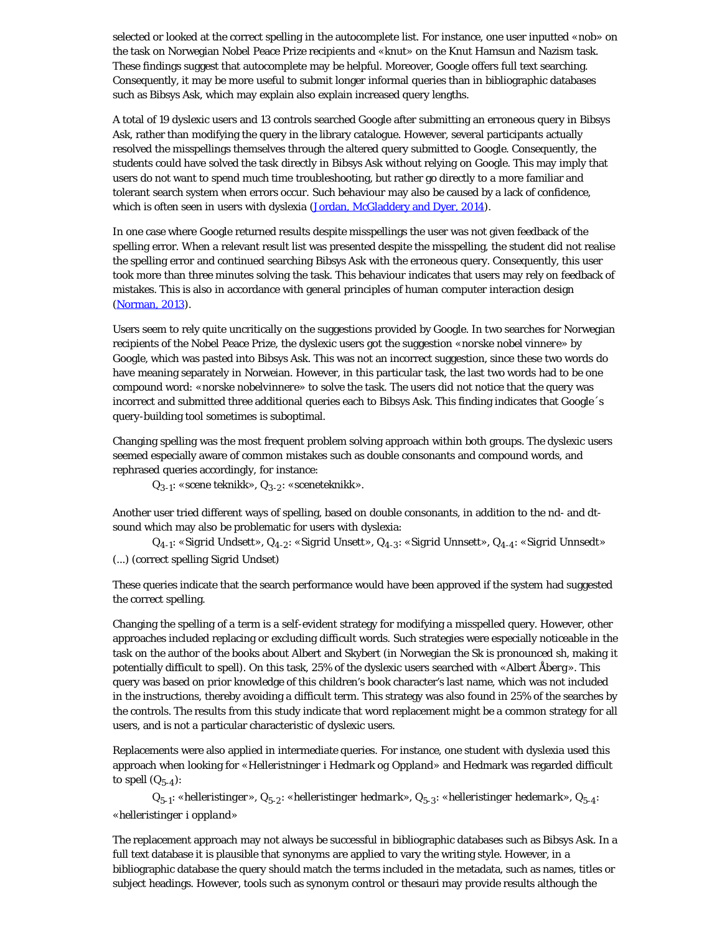selected or looked at the correct spelling in the autocomplete list. For instance, one user inputted «*nob*» on the task on Norwegian Nobel Peace Prize recipients and «*knut*» on the Knut Hamsun and Nazism task. These findings suggest that autocomplete may be helpful. Moreover, Google offers full text searching. Consequently, it may be more useful to submit longer informal queries than in bibliographic databases such as Bibsys Ask, which may explain also explain increased query lengths.

A total of 19 dyslexic users and 13 controls searched Google after submitting an erroneous query in Bibsys Ask, rather than modifying the query in the library catalogue. However, several participants actually resolved the misspellings themselves through the altered query submitted to Google. Consequently, the students could have solved the task directly in Bibsys Ask without relying on Google. This may imply that users do not want to spend much time troubleshooting, but rather go directly to a more familiar and tolerant search system when errors occur. Such behaviour may also be caused by a lack of confidence, which is often seen in users with dyslexia (Jordan, McGladdery and Dyer, 2014).

In one case where Google returned results despite misspellings the user was not given feedback of the spelling error. When a relevant result list was presented despite the misspelling, the student did not realise the spelling error and continued searching Bibsys Ask with the erroneous query. Consequently, this user took more than three minutes solving the task. This behaviour indicates that users may rely on feedback of mistakes. This is also in accordance with general principles of human computer interaction design (Norman, 2013).

Users seem to rely quite uncritically on the suggestions provided by Google. In two searches for Norwegian recipients of the Nobel Peace Prize, the dyslexic users got the suggestion «*norske nobel vinnere*» by Google, which was pasted into Bibsys Ask. This was not an incorrect suggestion, since these two words do have meaning separately in Norweian. However, in this particular task, the last two words had to be one compound word: «*norske nobelvinnere*» to solve the task. The users did not notice that the query was incorrect and submitted three additional queries each to Bibsys Ask. This finding indicates that Google´s query-building tool sometimes is suboptimal.

Changing spelling was the most frequent problem solving approach within both groups. The dyslexic users seemed especially aware of common mistakes such as double consonants and compound words, and rephrased queries accordingly, for instance:

Q3-1: «*scene teknikk*», Q3-2: «*sceneteknikk*».

Another user tried different ways of spelling, based on double consonants, in addition to the nd- and dtsound which may also be problematic for users with dyslexia:

 Q4-1: «*Sigrid Undsett*», Q4-2: «*Sigrid Unsett*», Q4-3: «*Sigrid Unnsett*», Q4-4: «*Sigrid Unnsedt*» (...) (correct spelling Sigrid Undset)

These queries indicate that the search performance would have been approved if the system had suggested the correct spelling.

Changing the spelling of a term is a self-evident strategy for modifying a misspelled query. However, other approaches included replacing or excluding difficult words. Such strategies were especially noticeable in the task on the author of the books about Albert and Skybert (in Norwegian the Sk is pronounced sh, making it potentially difficult to spell). On this task, 25% of the dyslexic users searched with «*Albert Åberg*». This query was based on prior knowledge of this children's book character's last name, which was not included in the instructions, thereby avoiding a difficult term. This strategy was also found in 25% of the searches by the controls. The results from this study indicate that word replacement might be a common strategy for all users, and is not a particular characteristic of dyslexic users.

Replacements were also applied in intermediate queries. For instance, one student with dyslexia used this approach when looking for «*Helleristninger i Hedmark og Oppland*» and Hedmark was regarded difficult to spell  $(Q_{5-4})$ :

 Q5-1: «*helleristinger*», Q5-2: «*helleristinger hedmark*», Q5-3: «*helleristinger hedemark*», Q5-4: «*helleristinger i oppland*»

The replacement approach may not always be successful in bibliographic databases such as Bibsys Ask. In a full text database it is plausible that synonyms are applied to vary the writing style. However, in a bibliographic database the query should match the terms included in the metadata, such as names, titles or subject headings. However, tools such as synonym control or thesauri may provide results although the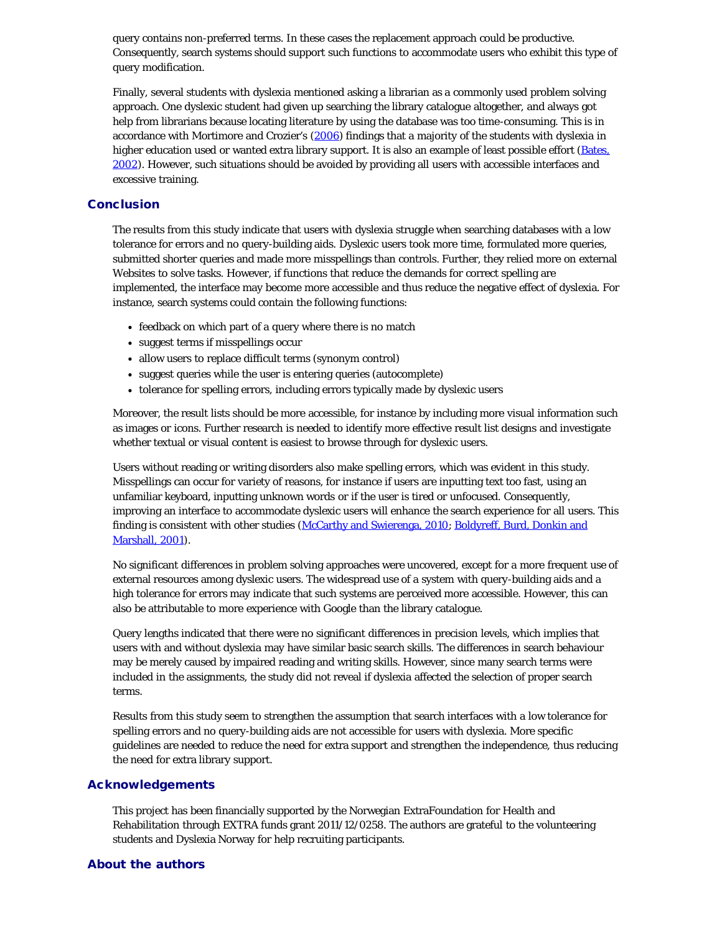query contains non-preferred terms. In these cases the replacement approach could be productive. Consequently, search systems should support such functions to accommodate users who exhibit this type of query modification.

Finally, several students with dyslexia mentioned asking a librarian as a commonly used problem solving approach. One dyslexic student had given up searching the library catalogue altogether, and always got help from librarians because locating literature by using the database was too time-consuming. This is in accordance with Mortimore and Crozier's (2006) findings that a majority of the students with dyslexia in higher education used or wanted extra library support. It is also an example of least possible effort (Bates, 2002). However, such situations should be avoided by providing all users with accessible interfaces and excessive training.

#### **Conclusion**

The results from this study indicate that users with dyslexia struggle when searching databases with a low tolerance for errors and no query-building aids. Dyslexic users took more time, formulated more queries, submitted shorter queries and made more misspellings than controls. Further, they relied more on external Websites to solve tasks. However, if functions that reduce the demands for correct spelling are implemented, the interface may become more accessible and thus reduce the negative effect of dyslexia. For instance, search systems could contain the following functions:

- feedback on which part of a query where there is no match
- suggest terms if misspellings occur
- allow users to replace difficult terms (synonym control)
- suggest queries while the user is entering queries (autocomplete)
- tolerance for spelling errors, including errors typically made by dyslexic users

Moreover, the result lists should be more accessible, for instance by including more visual information such as images or icons. Further research is needed to identify more effective result list designs and investigate whether textual or visual content is easiest to browse through for dyslexic users.

Users without reading or writing disorders also make spelling errors, which was evident in this study. Misspellings can occur for variety of reasons, for instance if users are inputting text too fast, using an unfamiliar keyboard, inputting unknown words or if the user is tired or unfocused. Consequently, improving an interface to accommodate dyslexic users will enhance the search experience for all users. This finding is consistent with other studies (McCarthy and Swierenga, 2010; Boldyreff, Burd, Donkin and Marshall, 2001).

No significant differences in problem solving approaches were uncovered, except for a more frequent use of external resources among dyslexic users. The widespread use of a system with query-building aids and a high tolerance for errors may indicate that such systems are perceived more accessible. However, this can also be attributable to more experience with Google than the library catalogue.

Query lengths indicated that there were no significant differences in precision levels, which implies that users with and without dyslexia may have similar basic search skills. The differences in search behaviour may be merely caused by impaired reading and writing skills. However, since many search terms were included in the assignments, the study did not reveal if dyslexia affected the selection of proper search terms.

Results from this study seem to strengthen the assumption that search interfaces with a low tolerance for spelling errors and no query-building aids are not accessible for users with dyslexia. More specific guidelines are needed to reduce the need for extra support and strengthen the independence, thus reducing the need for extra library support.

#### Acknowledgements

This project has been financially supported by the Norwegian ExtraFoundation for Health and Rehabilitation through EXTRA funds grant 2011/12/0258. The authors are grateful to the volunteering students and Dyslexia Norway for help recruiting participants.

#### About the authors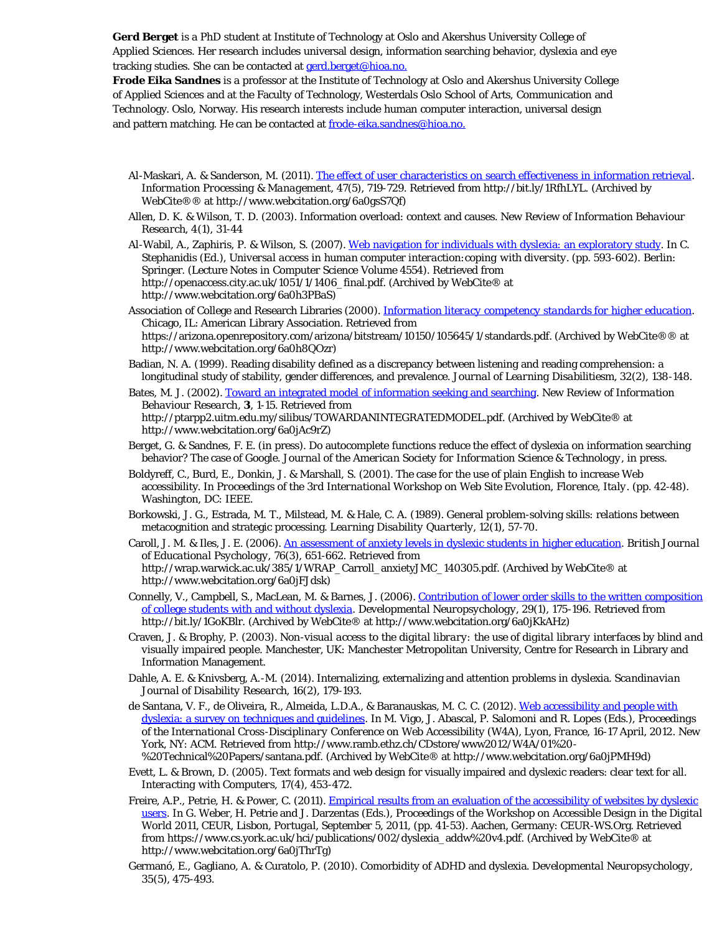**Gerd Berget** is a PhD student at Institute of Technology at Oslo and Akershus University College of Applied Sciences. Her research includes universal design, information searching behavior, dyslexia and eye tracking studies. She can be contacted at [gerd.berget@hioa.no.](mailto:gerd.berget@hioa.no.)

**Frode Eika Sandnes** is a professor at the Institute of Technology at Oslo and Akershus University College of Applied Sciences and at the Faculty of Technology, Westerdals Oslo School of Arts, Communication and Technology. Oslo, Norway. His research interests include human computer interaction, universal design and pattern matching. He can be contacted at [frode-eika.sandnes@hioa.no.](mailto:frode-eika.sandnes@hioa.no)

- Al-Maskari, A. & Sanderson, M. (2011). [The effect of user characteristics on search effectiveness in information retrieval.](http://www.webcitation.org/6a0gsS7Qf) *Information Processing & Management, 47*(5), 719-729. Retrieved from http://bit.ly/1RfhLYL. (Archived by WebCite®® at http://www.webcitation.org/6a0gsS7Qf)
- Allen, D. K. & Wilson, T. D. (2003). Information overload: context and causes. *New Review of Information Behaviour Research, 4*(1), 31-44
- Al-Wabil, A., Zaphiris, P. & Wilson, S. (2007). [Web navigation for individuals with dyslexia: an exploratory study.](http://www.webcitation.org/6a0h3PBaS) In C. Stephanidis (Ed.), *Universal access in human computer interaction:coping with diversity.* (pp. 593-602). Berlin: Springer. (Lecture Notes in Computer Science Volume 4554). Retrieved from http://openaccess.city.ac.uk/1051/1/1406\_final.pdf. (Archived by WebCite ® at http://www.webcitation.org/6a0h3PBaS)
- Association of College and Research Libraries (2000). *[Information literacy competency standards for higher education](http://www.webcitation.org/6a0h8QOzr)*. Chicago, IL: American Library Association. Retrieved from https://arizona.openrepository.com/arizona/bitstream/10150/105645/1/standards.pdf. (Archived by WebCite®® at http://www.webcitation.org/6a0h8QOzr)
- Badian, N. A. (1999). Reading disability defined as a discrepancy between listening and reading comprehension: a longitudinal study of stability, gender differences, and prevalence. *Journal of Learning Disabilitiesm, 32*(2), 138-148.
- Bates, M. J. (2002). [Toward an integrated model of information seeking and searching.](http://www.webcitation.org/6a0jAc9rZ) *New Review of Information Behaviour Research*, **3**, 1-15. Retrieved from http://ptarpp2.uitm.edu.my/silibus/TOWARDANINTEGRATEDMODEL.pdf. (Archived by WebCite® at http://www.webcitation.org/6a0jAc9rZ)
- Berget, G. & Sandnes, F. E. (in press). Do autocomplete functions reduce the effect of dyslexia on information searching behavior? The case of Google. *Journal of the American Society for Information Science & Technology*, in press.
- Boldyreff, C., Burd, E., Donkin, J. & Marshall, S. (2001). The case for the use of plain English to increase Web accessibility. In *Proceedings of the 3rd International Workshop on Web Site Evolution, Florence, Italy*. (pp. 42-48). Washington, DC: IEEE.
- Borkowski, J. G., Estrada, M. T., Milstead, M. & Hale, C. A. (1989). General problem-solving skills: relations between metacognition and strategic processing. *Learning Disability Quarterly, 12*(1), 57-70.
- Caroll, J. M. & Iles, J. E. (2006). [An assessment of anxiety levels in dyslexic students in higher education.](http://www.webcitation.org/6a0jFJdsk) *British Journal of Educational Psychology, 76*(3), 651-662. Retrieved from http://wrap.warwick.ac.uk/385/1/WRAP\_Carroll\_anxietyJMC\_140305.pdf. (Archived by WebCite® at http://www.webcitation.org/6a0jFJdsk)
- Connelly, V., Campbell, S., MacLean, M. & Barnes, J. (2006). [Contribution of lower order skills to the written composition](http://www.webcitation.org/6a0jKkAHz) [of college students with and without dyslexia.](http://www.webcitation.org/6a0jKkAHz) *Developmental Neuropsychology, 29*(1), 175-196. Retrieved from http://bit.ly/1GoKBlr. (Archived by WebCite® at http://www.webcitation.org/6a0jKkAHz)
- Craven, J. & Brophy, P. (2003). *Non-visual access to the digital library: the use of digital library interfaces by blind and visually impaired people*. Manchester, UK: Manchester Metropolitan University, Centre for Research in Library and Information Management.
- Dahle, A. E. & Knivsberg, A.-M. (2014). Internalizing, externalizing and attention problems in dyslexia. *Scandinavian Journal of Disability Research, 16*(2), 179-193.
- de Santana, V. F., de Oliveira, R., Almeida, L.D.A., & Baranauskas, M. C. C. (2012). [Web accessibility and people with](http://www.webcitation.org/6a0jPMH9d) [dyslexia: a survey on techniques and guidelines](http://www.webcitation.org/6a0jPMH9d). In M. Vigo, J. Abascal, P. Salomoni and R. Lopes (Eds.), *Proceedings of the International Cross-Disciplinary Conference on Web Accessibility (W4A), Lyon, France, 16-17 April, 2012*. New York, NY: ACM. Retrieved from http://www.ramb.ethz.ch/CDstore/www2012/W4A/01%20- %20Technical%20Papers/santana.pdf. (Archived by WebCite® at http://www.webcitation.org/6a0jPMH9d)
- Evett, L. & Brown, D. (2005). Text formats and web design for visually impaired and dyslexic readers: clear text for all. *Interacting with Computers, 17*(4), 453-472.
- Freire, A.P., Petrie, H. & Power, C. (2011). [Empirical results from an evaluation of the accessibility of websites by dyslexic](http://www.webcitation.org/6a0jThrTg) [users](http://www.webcitation.org/6a0jThrTg). In G. Weber, H. Petrie and J. Darzentas (Eds.), *Proceedings of the Workshop on Accessible Design in the Digital World 2011, CEUR, Lisbon, Portugal, September 5, 2011*, (pp. 41-53). Aachen, Germany: CEUR-WS.Org. Retrieved from https://www.cs.york.ac.uk/hci/publications/002/dyslexia\_addw%20v4.pdf. (Archived by WebCite® at http://www.webcitation.org/6a0jThrTg)
- Germanó, E., Gagliano, A. & Curatolo, P. (2010). Comorbidity of ADHD and dyslexia. *Developmental Neuropsychology, 35*(5), 475-493.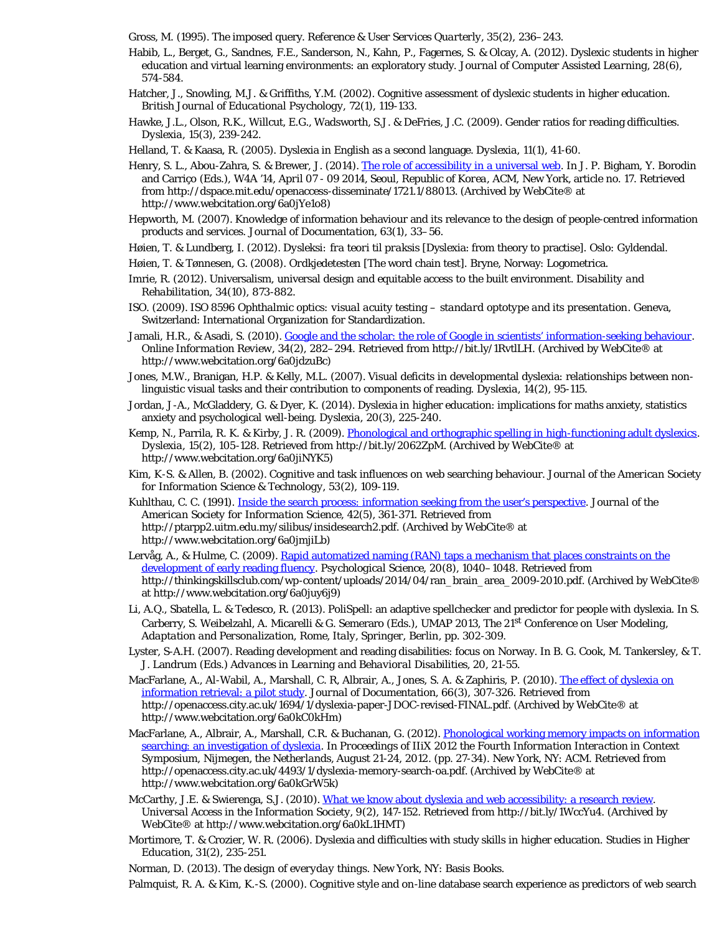Gross, M. (1995). The imposed query. *Reference & User Services Quarterly, 35*(2), 236–243.

- Habib, L., Berget, G., Sandnes, F.E., Sanderson, N., Kahn, P., Fagernes, S. & Olcay, A. (2012). Dyslexic students in higher education and virtual learning environments: an exploratory study. *Journal of Computer Assisted Learning, 28*(6), 574-584.
- Hatcher, J., Snowling, M.J. & Griffiths, Y.M. (2002). Cognitive assessment of dyslexic students in higher education. *British Journal of Educational Psychology, 72*(1), 119-133.
- Hawke, J.L., Olson, R.K., Willcut, E.G., Wadsworth, S.J. & DeFries, J.C. (2009). Gender ratios for reading difficulties. *Dyslexia, 15*(3), 239-242.
- Helland, T. & Kaasa, R. (2005). Dyslexia in English as a second language. *Dyslexia, 11*(1), 41-60.
- Henry, S. L., Abou-Zahra, S. & Brewer, J. (2014). [The role of accessibility in a universal web.](http://www.webcitation.org/6a0jYe1o8) In J. P. Bigham, Y. Borodin and Carriço (Eds.), *W4A '14, April 07 - 09 2014, Seoul, Republic of Korea*, ACM, New York, article no. 17. Retrieved from http://dspace.mit.edu/openaccess-disseminate/1721.1/88013. (Archived by WebCite® at http://www.webcitation.org/6a0jYe1o8)
- Hepworth, M. (2007). Knowledge of information behaviour and its relevance to the design of people-centred information products and services. *Journal of Documentation, 63*(1), 33–56.
- Høien, T. & Lundberg, I. (2012). *Dysleksi: fra teori til praksis* [Dyslexia: from theory to practise]. Oslo: Gyldendal.
- Høien, T. & Tønnesen, G. (2008). *Ordkjedetesten* [The word chain test]. Bryne, Norway: Logometrica.
- Imrie, R. (2012). Universalism, universal design and equitable access to the built environment. *Disability and Rehabilitation, 34*(10), 873-882.
- ISO. (2009). *ISO 8596 Ophthalmic optics: visual acuity testing standard optotype and its presentation*. Geneva, Switzerland: International Organization for Standardization.
- Jamali, H.R., & Asadi, S. (2010). [Google and the scholar: the role of Google in scientists' information-seeking behaviour](http://www.webcitation.org/6a0jdzuBc). *Online Information Review, 34*(2), 282–294. Retrieved from http://bit.ly/1RvtlLH. (Archived by WebCite® at http://www.webcitation.org/6a0jdzuBc)
- Jones, M.W., Branigan, H.P. & Kelly, M.L. (2007). Visual deficits in developmental dyslexia: relationships between nonlinguistic visual tasks and their contribution to components of reading. *Dyslexia, 14*(2), 95-115.
- Jordan, J-A., McGladdery, G. & Dyer, K. (2014). Dyslexia in higher education: implications for maths anxiety, statistics anxiety and psychological well-being. *Dyslexia, 20*(3), 225-240.
- Kemp, N., Parrila, R. K. & Kirby, J. R. (2009). *Phonological and orthographic spelling in high-functioning adult dyslexics*. *Dyslexia, 15*(2), 105-128. Retrieved from http://bit.ly/2062ZpM. (Archived by WebCite® at http://www.webcitation.org/6a0jiNYK5)
- Kim, K-S. & Allen, B. (2002). Cognitive and task influences on web searching behaviour. *Journal of the American Society for Information Science & Technology, 53*(2), 109-119.
- Kuhlthau, C. C. (1991). [Inside the search process: information seeking from the user's perspective.](http://www.webcitation.org/6a0jmjiLb) *Journal of the American Society for Information Science, 42*(5), 361-371. Retrieved from http://ptarpp2.uitm.edu.my/silibus/insidesearch2.pdf. (Archived by WebCite® at http://www.webcitation.org/6a0jmjiLb)
- Lervåg, A., & Hulme, C. (2009). [Rapid automatized naming \(RAN\) taps a mechanism that places constraints on the](http://www.webcitation.org/6a0juy6j9) [development of early reading fluency](http://www.webcitation.org/6a0juy6j9). *Psychological Science, 20*(8), 1040–1048. Retrieved from http://thinkingskillsclub.com/wp-content/uploads/2014/04/ran\_brain\_area\_2009-2010.pdf. (Archived by WebCite® at http://www.webcitation.org/6a0juy6j9)
- Li, A.Q., Sbatella, L. & Tedesco, R. (2013). PoliSpell: an adaptive spellchecker and predictor for people with dyslexia. In S. Carberry, S. Weibelzahl, A. Micarelli & G. Semeraro (Eds.), *UMAP 2013, The 21st Conference on User Modeling, Adaptation and Personalization, Rome, Italy, Springer, Berlin*, pp. 302-309.
- Lyster, S-A.H. (2007). Reading development and reading disabilities: focus on Norway. In B. G. Cook, M. Tankersley, & T. J. Landrum (Eds.) *Advances in Learning and Behavioral Disabilities, 20*, 21-55.
- MacFarlane, A., Al-Wabil, A., Marshall, C. R, Albrair, A., Jones, S. A. & Zaphiris, P. (2010). [The effect of dyslexia on](http://www.webcitation.org/6a0kC0kHm) [information retrieval: a pilot study](http://www.webcitation.org/6a0kC0kHm). *Journal of Documentation, 66*(3), 307-326. Retrieved from http://openaccess.city.ac.uk/1694/1/dyslexia-paper-JDOC-revised-FINAL.pdf. (Archived by WebCite® at http://www.webcitation.org/6a0kC0kHm)
- MacFarlane, A., Albrair, A., Marshall, C.R. & Buchanan, G. (2012). [Phonological working memory impacts on information](http://www.webcitation.org/6a0kGrW5k) [searching: an investigation of dyslexia](http://www.webcitation.org/6a0kGrW5k). In *Proceedings of IIiX 2012 the Fourth Information Interaction in Context Symposium, Nijmegen, the Netherlands, August 21-24, 2012*. (pp. 27-34). New York, NY: ACM. Retrieved from http://openaccess.city.ac.uk/4493/1/dyslexia-memory-search-oa.pdf. (Archived by WebCite® at http://www.webcitation.org/6a0kGrW5k)
- McCarthy, J.E. & Swierenga, S.J. (2010). [What we know about dyslexia and web accessibility: a research review.](http://www.webcitation.org/6a0kL1HMT) *Universal Access in the Information Society, 9*(2), 147-152. Retrieved from http://bit.ly/1WccYu4. (Archived by WebCite® at http://www.webcitation.org/6a0kL1HMT)
- Mortimore, T. & Crozier, W. R. (2006). Dyslexia and difficulties with study skills in higher education. *Studies in Higher Education, 31*(2), 235-251.

Norman, D. (2013). *The design of everyday things*. New York, NY: Basis Books.

Palmquist, R. A. & Kim, K.-S. (2000). Cognitive style and on-line database search experience as predictors of web search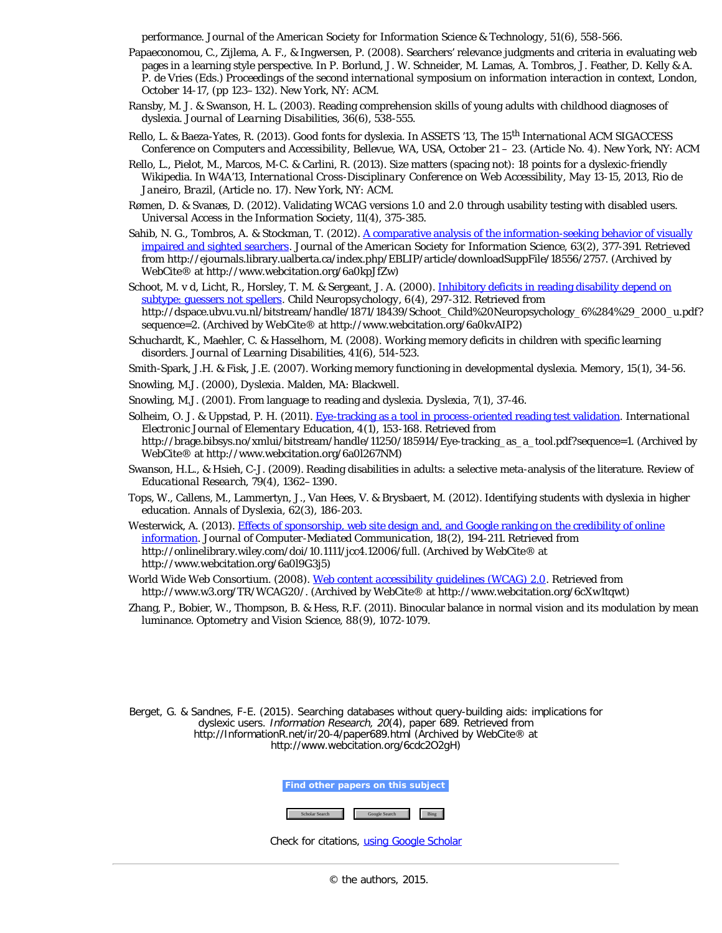performance. *Journal of the American Society for Information Science & Technology, 51*(6), 558-566.

- Papaeconomou, C., Zijlema, A. F., & Ingwersen, P. (2008). Searchers' relevance judgments and criteria in evaluating web pages in a learning style perspective. In P. Borlund, J. W. Schneider, M. Lamas, A. Tombros, J. Feather, D. Kelly & A. P. de Vries (Eds.) *Proceedings of the second international symposium on information interaction in context, London, October 14-17*, (pp 123–132). New York, NY: ACM.
- Ransby, M. J. & Swanson, H. L. (2003). Reading comprehension skills of young adults with childhood diagnoses of dyslexia. *Journal of Learning Disabilities, 36*(6), 538-555.
- Rello, L. & Baeza-Yates, R. (2013). Good fonts for dyslexia. In *ASSETS '13, The 15th International ACM SIGACCESS Conference on Computers and Accessibility, Bellevue, WA, USA, October 21 – 23*. (Article No. 4). New York, NY: ACM
- Rello, L., Pielot, M., Marcos, M-C. & Carlini, R. (2013). Size matters (spacing not): 18 points for a dyslexic-friendly Wikipedia. In *W4A'13, International Cross-Disciplinary Conference on Web Accessibility, May 13-15, 2013, Rio de Janeiro, Brazil*, (Article no. 17). New York, NY: ACM.
- Rømen, D. & Svanæs, D. (2012). Validating WCAG versions 1.0 and 2.0 through usability testing with disabled users. *Universal Access in the Information Society, 11*(4), 375-385.
- Sahib, N. G., Tombros, A. & Stockman, T. (2012). [A comparative analysis of the information-seeking behavior of visually](http://www.webcitation.org/6a0kpJfZw) [impaired and sighted searchers](http://www.webcitation.org/6a0kpJfZw). *Journal of the American Society for Information Science, 63*(2), 377-391. Retrieved from http://ejournals.library.ualberta.ca/index.php/EBLIP/article/downloadSuppFile/18556/2757. (Archived by WebCite® at http://www.webcitation.org/6a0kpJfZw)
- Schoot, M. v d, Licht, R., Horsley, T. M. & Sergeant, J. A. (2000). [Inhibitory deficits in reading disability depend on](http://www.webcitation.org/6a0kvAIP2) [subtype: guessers not spellers](http://www.webcitation.org/6a0kvAIP2). *Child Neuropsychology, 6*(4), 297-312. Retrieved from http://dspace.ubvu.vu.nl/bitstream/handle/1871/18439/Schoot\_Child%20Neuropsychology\_6%284%29\_2000\_u.pdf? sequence=2. (Archived by WebCite® at http://www.webcitation.org/6a0kvAIP2)
- Schuchardt, K., Maehler, C. & Hasselhorn, M. (2008). Working memory deficits in children with specific learning disorders. *Journal of Learning Disabilities, 41*(6), 514-523.
- Smith-Spark, J.H. & Fisk, J.E. (2007). Working memory functioning in developmental dyslexia. *Memory, 15*(1), 34-56.
- Snowling, M.J. (2000), *Dyslexia*. Malden, MA: Blackwell.
- Snowling, M.J. (2001). From language to reading and dyslexia. *Dyslexia, 7*(1), 37-46.
- Solheim, O. J. & Uppstad, P. H. (2011). [Eye-tracking as a tool in process-oriented reading test validation.](http://www.webcitation.org/6a0l267NM) *International Electronic Journal of Elementary Education, 4*(1), 153-168. Retrieved from http://brage.bibsys.no/xmlui/bitstream/handle/11250/185914/Eye-tracking\_as\_a\_tool.pdf?sequence=1. (Archived by WebCite® at http://www.webcitation.org/6a0l267NM)
- Swanson, H.L., & Hsieh, C-J. (2009). Reading disabilities in adults: a selective meta-analysis of the literature. *Review of Educational Research, 79*(4), 1362–1390.
- Tops, W., Callens, M., Lammertyn, J., Van Hees, V. & Brysbaert, M. (2012). Identifying students with dyslexia in higher education. *Annals of Dyslexia, 62*(3), 186-203.
- Westerwick, A. (2013). [Effects of sponsorship, web site design and, and Google ranking on the credibility of online](http://www.webcitation.org/6a0l9G3j5) [information](http://www.webcitation.org/6a0l9G3j5). *Journal of Computer-Mediated Communication, 18*(2), 194-211. Retrieved from http://onlinelibrary.wiley.com/doi/10.1111/jcc4.12006/full. (Archived by WebCite® at http://www.webcitation.org/6a0l9G3j5)
- World Wide Web Consortium. (2008). *[Web content accessibility guidelines \(WCAG\) 2.0](http://www.w3.org/TR/WCAG20/)*. Retrieved from http://www.w3.org/TR/WCAG20/. (Archived by WebCite® at http://www.webcitation.org/6cXw1tqwt)
- Zhang, P., Bobier, W., Thompson, B. & Hess, R.F. (2011). Binocular balance in normal vision and its modulation by mean luminance. *Optometry and Vision Science, 88*(9), 1072-1079.

Berget, G. & Sandnes, F-E. (2015). Searching databases without query-building aids: implications for dyslexic users. Information Research, 20(4), paper 689. Retrieved from http://InformationR.net/ir/20-4/paper689.html (Archived by WebCite® at http://www.webcitation.org/6cdc2O2gH)



Check for citations, [using Google Scholar](http://scholar.google.co.uk/scholar?hl=en&q=http://informationr.net/ir/20-4/paper689.html&btnG=Search&as_sdt=2000)

© the authors, 2015.